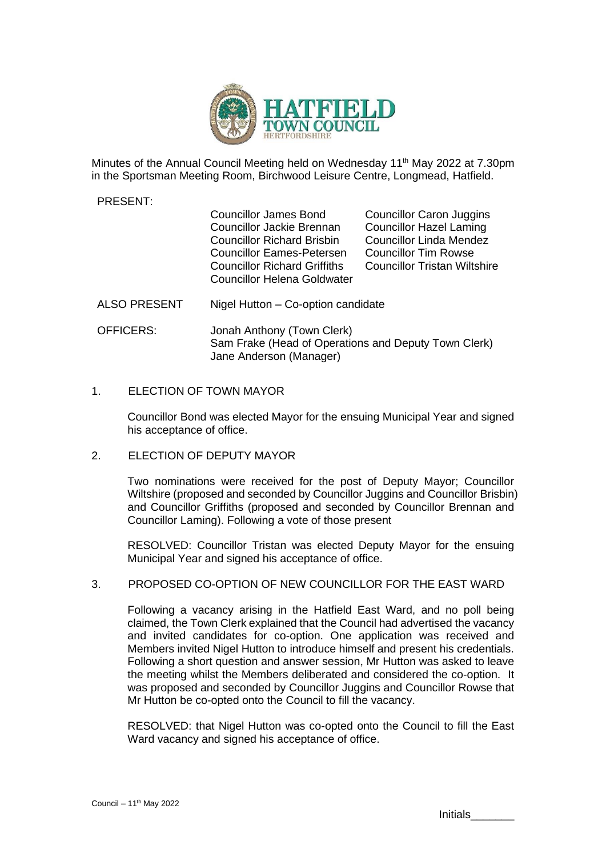

Minutes of the Annual Council Meeting held on Wednesday 11<sup>th</sup> May 2022 at 7.30pm in the Sportsman Meeting Room, Birchwood Leisure Centre, Longmead, Hatfield.

PRESENT:

| <b>Councillor James Bond</b>        |  |
|-------------------------------------|--|
| Councillor Jackie Brennan           |  |
| <b>Councillor Richard Brisbin</b>   |  |
| <b>Councillor Eames-Petersen</b>    |  |
| <b>Councillor Richard Griffiths</b> |  |
| <b>Councillor Helena Goldwater</b>  |  |
|                                     |  |

Councillor Caron Juggins Councillor Hazel Laming Councillor Linda Mendez Councillor Tim Rowse Councillor Tristan Wiltshire

- ALSO PRESENT Nigel Hutton Co-option candidate
- OFFICERS: Jonah Anthony (Town Clerk) Sam Frake (Head of Operations and Deputy Town Clerk) Jane Anderson (Manager)

### 1. ELECTION OF TOWN MAYOR

Councillor Bond was elected Mayor for the ensuing Municipal Year and signed his acceptance of office.

## 2. ELECTION OF DEPUTY MAYOR

Two nominations were received for the post of Deputy Mayor; Councillor Wiltshire (proposed and seconded by Councillor Juggins and Councillor Brisbin) and Councillor Griffiths (proposed and seconded by Councillor Brennan and Councillor Laming). Following a vote of those present

RESOLVED: Councillor Tristan was elected Deputy Mayor for the ensuing Municipal Year and signed his acceptance of office.

## 3. PROPOSED CO-OPTION OF NEW COUNCILLOR FOR THE EAST WARD

Following a vacancy arising in the Hatfield East Ward, and no poll being claimed, the Town Clerk explained that the Council had advertised the vacancy and invited candidates for co-option. One application was received and Members invited Nigel Hutton to introduce himself and present his credentials. Following a short question and answer session, Mr Hutton was asked to leave the meeting whilst the Members deliberated and considered the co-option. It was proposed and seconded by Councillor Juggins and Councillor Rowse that Mr Hutton be co-opted onto the Council to fill the vacancy.

RESOLVED: that Nigel Hutton was co-opted onto the Council to fill the East Ward vacancy and signed his acceptance of office.

Initials<sub>\_\_\_\_\_</sub>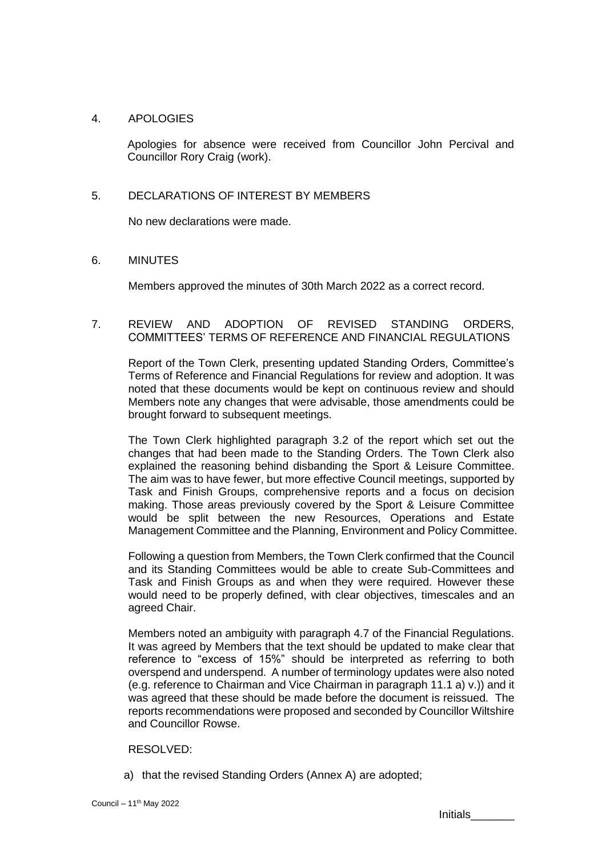### 4. APOLOGIES

Apologies for absence were received from Councillor John Percival and Councillor Rory Craig (work).

#### 5. DECLARATIONS OF INTEREST BY MEMBERS

No new declarations were made.

### 6. MINUTES

Members approved the minutes of 30th March 2022 as a correct record.

### 7. REVIEW AND ADOPTION OF REVISED STANDING ORDERS, COMMITTEES' TERMS OF REFERENCE AND FINANCIAL REGULATIONS

Report of the Town Clerk, presenting updated Standing Orders, Committee's Terms of Reference and Financial Regulations for review and adoption. It was noted that these documents would be kept on continuous review and should Members note any changes that were advisable, those amendments could be brought forward to subsequent meetings.

The Town Clerk highlighted paragraph 3.2 of the report which set out the changes that had been made to the Standing Orders. The Town Clerk also explained the reasoning behind disbanding the Sport & Leisure Committee. The aim was to have fewer, but more effective Council meetings, supported by Task and Finish Groups, comprehensive reports and a focus on decision making. Those areas previously covered by the Sport & Leisure Committee would be split between the new Resources, Operations and Estate Management Committee and the Planning, Environment and Policy Committee.

Following a question from Members, the Town Clerk confirmed that the Council and its Standing Committees would be able to create Sub-Committees and Task and Finish Groups as and when they were required. However these would need to be properly defined, with clear objectives, timescales and an agreed Chair.

Members noted an ambiguity with paragraph 4.7 of the Financial Regulations. It was agreed by Members that the text should be updated to make clear that reference to "excess of 15%" should be interpreted as referring to both overspend and underspend. A number of terminology updates were also noted (e.g. reference to Chairman and Vice Chairman in paragraph 11.1 a) v.)) and it was agreed that these should be made before the document is reissued. The reports recommendations were proposed and seconded by Councillor Wiltshire and Councillor Rowse.

#### RESOLVED:

a) that the revised Standing Orders (Annex A) are adopted;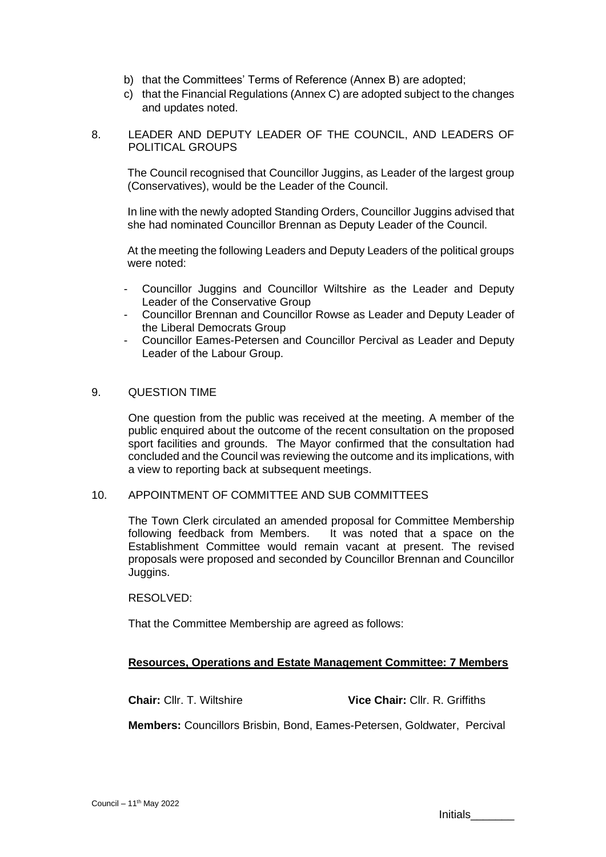- b) that the Committees' Terms of Reference (Annex B) are adopted;
- c) that the Financial Regulations (Annex C) are adopted subject to the changes and updates noted.
- 8. LEADER AND DEPUTY LEADER OF THE COUNCIL, AND LEADERS OF POLITICAL GROUPS

The Council recognised that Councillor Juggins, as Leader of the largest group (Conservatives), would be the Leader of the Council.

In line with the newly adopted Standing Orders, Councillor Juggins advised that she had nominated Councillor Brennan as Deputy Leader of the Council.

At the meeting the following Leaders and Deputy Leaders of the political groups were noted:

- Councillor Juggins and Councillor Wiltshire as the Leader and Deputy Leader of the Conservative Group
- Councillor Brennan and Councillor Rowse as Leader and Deputy Leader of the Liberal Democrats Group
- Councillor Eames-Petersen and Councillor Percival as Leader and Deputy Leader of the Labour Group.

### 9. QUESTION TIME

One question from the public was received at the meeting. A member of the public enquired about the outcome of the recent consultation on the proposed sport facilities and grounds. The Mayor confirmed that the consultation had concluded and the Council was reviewing the outcome and its implications, with a view to reporting back at subsequent meetings.

### 10. APPOINTMENT OF COMMITTEE AND SUB COMMITTEES

The Town Clerk circulated an amended proposal for Committee Membership following feedback from Members. It was noted that a space on the Establishment Committee would remain vacant at present. The revised proposals were proposed and seconded by Councillor Brennan and Councillor Juggins.

#### RESOLVED:

That the Committee Membership are agreed as follows:

## **Resources, Operations and Estate Management Committee: 7 Members**

**Chair:** Cllr. T. Wiltshire **Vice Chair:** Cllr. R. Griffiths

**Members:** Councillors Brisbin, Bond, Eames-Petersen, Goldwater, Percival

Initials\_\_\_\_\_\_\_\_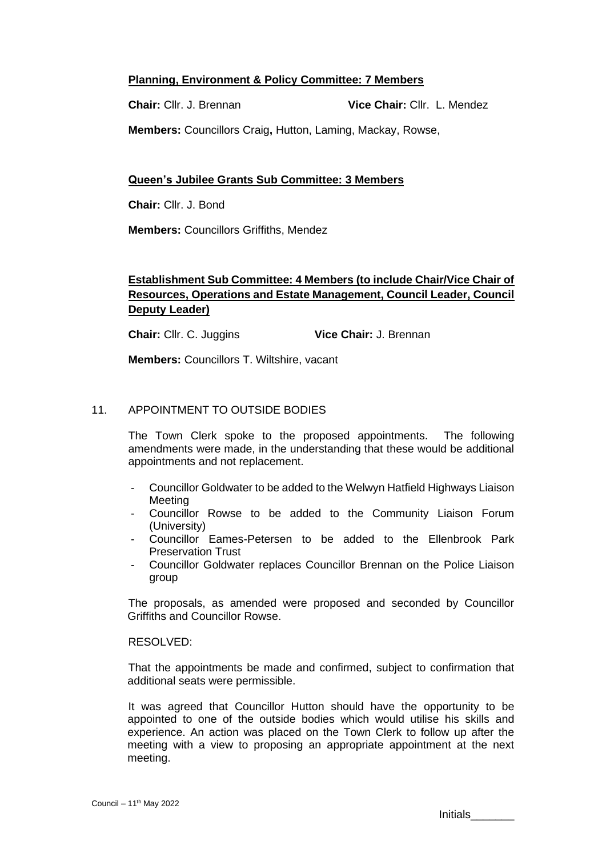## **Planning, Environment & Policy Committee: 7 Members**

**Chair:** Cllr. J. Brennan **Vice Chair:** Cllr.L. Mendez

**Members:** Councillors Craig**,** Hutton, Laming, Mackay, Rowse,

## **Queen's Jubilee Grants Sub Committee: 3 Members**

**Chair:** Cllr. J. Bond

**Members:** Councillors Griffiths, Mendez

# **Establishment Sub Committee: 4 Members (to include Chair/Vice Chair of Resources, Operations and Estate Management, Council Leader, Council Deputy Leader)**

**Chair:** Cllr. C. Juggins **Vice Chair:** J. Brennan

**Members:** Councillors T. Wiltshire, vacant

## 11. APPOINTMENT TO OUTSIDE BODIES

The Town Clerk spoke to the proposed appointments. The following amendments were made, in the understanding that these would be additional appointments and not replacement.

- Councillor Goldwater to be added to the Welwyn Hatfield Highways Liaison Meeting
- Councillor Rowse to be added to the Community Liaison Forum (University)
- Councillor Eames-Petersen to be added to the Ellenbrook Park Preservation Trust
- Councillor Goldwater replaces Councillor Brennan on the Police Liaison group

The proposals, as amended were proposed and seconded by Councillor Griffiths and Councillor Rowse.

## RESOLVED:

That the appointments be made and confirmed, subject to confirmation that additional seats were permissible.

It was agreed that Councillor Hutton should have the opportunity to be appointed to one of the outside bodies which would utilise his skills and experience. An action was placed on the Town Clerk to follow up after the meeting with a view to proposing an appropriate appointment at the next meeting.